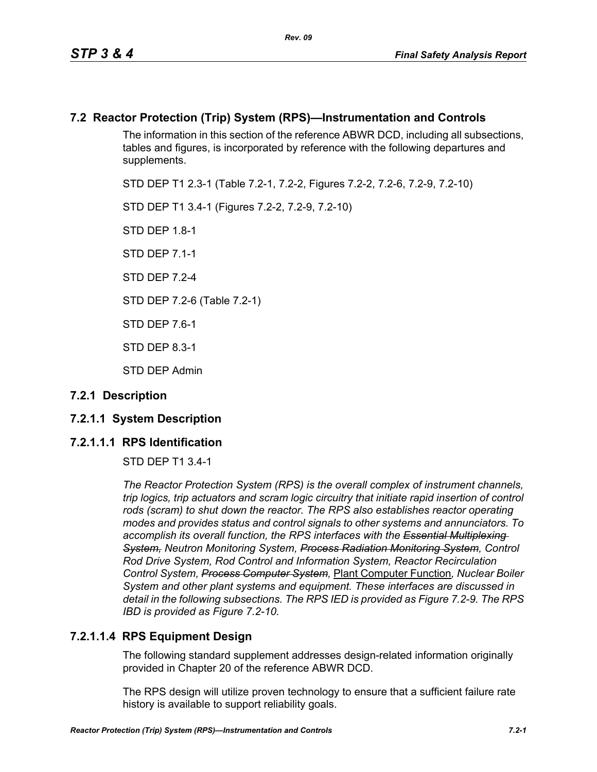# **7.2 Reactor Protection (Trip) System (RPS)—Instrumentation and Controls**

The information in this section of the reference ABWR DCD, including all subsections, tables and figures, is incorporated by reference with the following departures and supplements.

STD DEP T1 2.3-1 (Table 7.2-1, 7.2-2, Figures 7.2-2, 7.2-6, 7.2-9, 7.2-10)

STD DEP T1 3.4-1 (Figures 7.2-2, 7.2-9, 7.2-10)

STD DFP 18-1

STD DEP 7.1-1

STD DFP 7 2-4

STD DEP 7.2-6 (Table 7.2-1)

STD DEP 7.6-1

STD DEP 8.3-1

STD DEP Admin

# **7.2.1 Description**

# **7.2.1.1 System Description**

# **7.2.1.1.1 RPS Identification**

STD DEP T1 3.4-1

*The Reactor Protection System (RPS) is the overall complex of instrument channels, trip logics, trip actuators and scram logic circuitry that initiate rapid insertion of control*  rods (scram) to shut down the reactor. The RPS also establishes reactor operating *modes and provides status and control signals to other systems and annunciators. To accomplish its overall function, the RPS interfaces with the Essential Multiplexing System, Neutron Monitoring System, Process Radiation Monitoring System, Control Rod Drive System, Rod Control and Information System, Reactor Recirculation Control System, Process Computer System,* Plant Computer Function*, Nuclear Boiler System and other plant systems and equipment. These interfaces are discussed in detail in the following subsections. The RPS IED is provided as Figure 7.2-9. The RPS IBD is provided as Figure 7.2-10.*

# **7.2.1.1.4 RPS Equipment Design**

The following standard supplement addresses design-related information originally provided in Chapter 20 of the reference ABWR DCD.

The RPS design will utilize proven technology to ensure that a sufficient failure rate history is available to support reliability goals.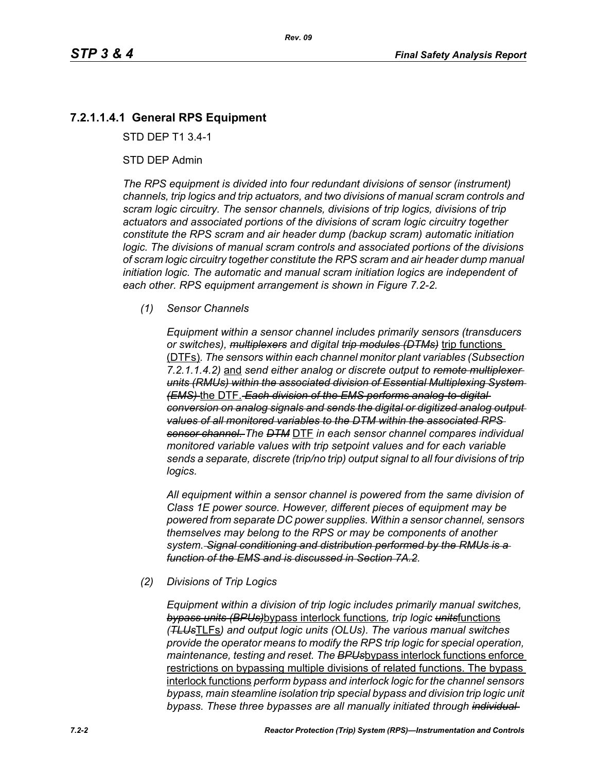# **7.2.1.1.4.1 General RPS Equipment**

STD DEP T1 3.4-1

## STD DEP Admin

*The RPS equipment is divided into four redundant divisions of sensor (instrument) channels, trip logics and trip actuators, and two divisions of manual scram controls and scram logic circuitry. The sensor channels, divisions of trip logics, divisions of trip actuators and associated portions of the divisions of scram logic circuitry together constitute the RPS scram and air header dump (backup scram) automatic initiation logic. The divisions of manual scram controls and associated portions of the divisions of scram logic circuitry together constitute the RPS scram and air header dump manual initiation logic. The automatic and manual scram initiation logics are independent of each other. RPS equipment arrangement is shown in Figure 7.2-2.*

## *(1) Sensor Channels*

*Equipment within a sensor channel includes primarily sensors (transducers or switches), multiplexers and digital trip modules (DTMs)* trip functions (DTFs)*. The sensors within each channel monitor plant variables (Subsection 7.2.1.1.4.2)* and *send either analog or discrete output to remote multiplexer units (RMUs) within the associated division of Essential Multiplexing System (EMS)* the DTF. *Each division of the EMS performs analog-to-digital conversion on analog signals and sends the digital or digitized analog output values of all monitored variables to the DTM within the associated RPS sensor channel. The DTM* DTF *in each sensor channel compares individual monitored variable values with trip setpoint values and for each variable sends a separate, discrete (trip/no trip) output signal to all four divisions of trip logics.*

*All equipment within a sensor channel is powered from the same division of Class 1E power source. However, different pieces of equipment may be powered from separate DC power supplies. Within a sensor channel, sensors themselves may belong to the RPS or may be components of another system. Signal conditioning and distribution performed by the RMUs is a function of the EMS and is discussed in Section 7A.2.*

## *(2) Divisions of Trip Logics*

*Equipment within a division of trip logic includes primarily manual switches, bypass units (BPUs)*bypass interlock functions*, trip logic units*functions *(TLUs*TLFs*) and output logic units (OLUs). The various manual switches provide the operator means to modify the RPS trip logic for special operation, maintenance, testing and reset. The BPUs*bypass interlock functions enforce restrictions on bypassing multiple divisions of related functions. The bypass interlock functions *perform bypass and interlock logic for the channel sensors bypass, main steamline isolation trip special bypass and division trip logic unit bypass. These three bypasses are all manually initiated through individual*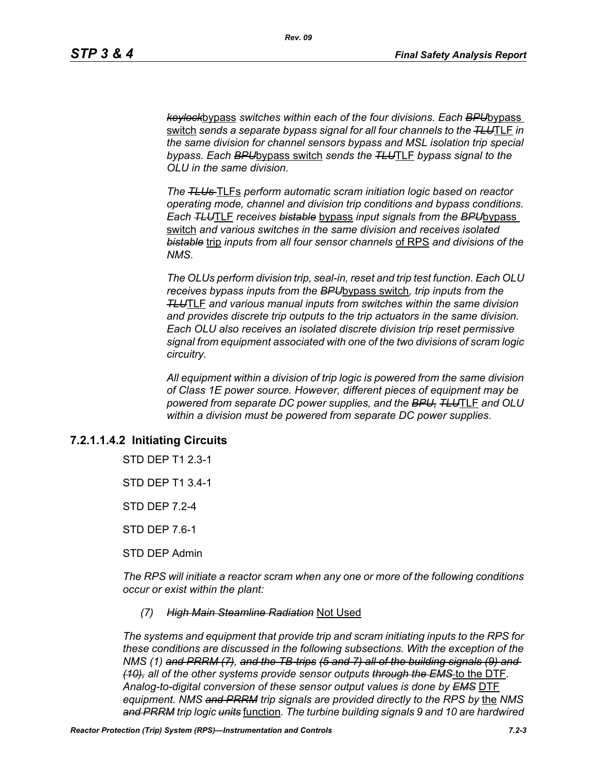*keylock*bypass *switches within each of the four divisions. Each BPU*bypass switch *sends a separate bypass signal for all four channels to the TLU*TLF *in the same division for channel sensors bypass and MSL isolation trip special bypass. Each BPU*bypass switch *sends the TLU*TLF *bypass signal to the OLU in the same division.*

*The TLUs* TLFs *perform automatic scram initiation logic based on reactor operating mode, channel and division trip conditions and bypass conditions. Each TLU*TLF *receives bistable* bypass *input signals from the BPU*bypass switch *and various switches in the same division and receives isolated bistable* trip *inputs from all four sensor channels* of RPS *and divisions of the NMS.*

*The OLUs perform division trip, seal-in, reset and trip test function. Each OLU receives bypass inputs from the BPU*bypass switch*, trip inputs from the TLU*TLF *and various manual inputs from switches within the same division and provides discrete trip outputs to the trip actuators in the same division. Each OLU also receives an isolated discrete division trip reset permissive signal from equipment associated with one of the two divisions of scram logic circuitry.*

*All equipment within a division of trip logic is powered from the same division of Class 1E power source. However, different pieces of equipment may be powered from separate DC power supplies, and the BPU, TLU*TLF *and OLU within a division must be powered from separate DC power supplies.*

# **7.2.1.1.4.2 Initiating Circuits**

STD DEP T1 2.3-1

STD DEP T1 3.4-1

STD DEP 7.2-4

STD DEP 7.6-1

STD DEP Admin

*The RPS will initiate a reactor scram when any one or more of the following conditions occur or exist within the plant:*

#### *(7) High Main Steamline Radiation* Not Used

*The systems and equipment that provide trip and scram initiating inputs to the RPS for these conditions are discussed in the following subsections. With the exception of the NMS (1) and PRRM (7), and the TB-trips (5 and 7) all of the building signals (9) and (10), all of the other systems provide sensor outputs through the EMS* to the DTF*. Analog-to-digital conversion of these sensor output values is done by EMS* DTF *equipment. NMS and PRRM trip signals are provided directly to the RPS by* the *NMS and PRRM trip logic units* function*. The turbine building signals 9 and 10 are hardwired*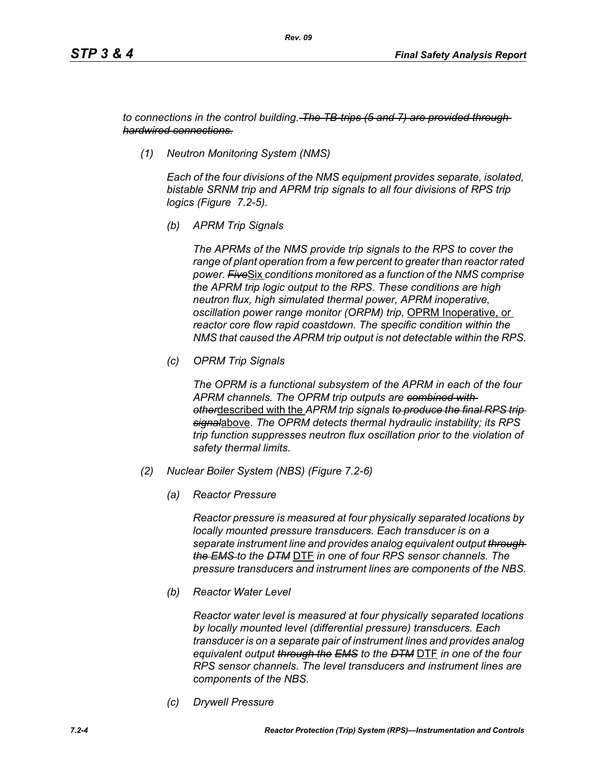*to connections in the control building. The TB-trips (5 and 7) are provided through hardwired connections.*

*(1) Neutron Monitoring System (NMS)*

*Each of the four divisions of the NMS equipment provides separate, isolated, bistable SRNM trip and APRM trip signals to all four divisions of RPS trip logics (Figure 7.2-5).*

*(b) APRM Trip Signals*

*The APRMs of the NMS provide trip signals to the RPS to cover the range of plant operation from a few percent to greater than reactor rated power. Five*Six *conditions monitored as a function of the NMS comprise the APRM trip logic output to the RPS. These conditions are high neutron flux, high simulated thermal power, APRM inoperative, oscillation power range monitor (ORPM) trip,* OPRM Inoperative, or *reactor core flow rapid coastdown. The specific condition within the NMS that caused the APRM trip output is not detectable within the RPS.*

*(c) OPRM Trip Signals*

*The OPRM is a functional subsystem of the APRM in each of the four APRM channels. The OPRM trip outputs are combined with other*described with the *APRM trip signals to produce the final RPS trip signal*above*. The OPRM detects thermal hydraulic instability; its RPS trip function suppresses neutron flux oscillation prior to the violation of safety thermal limits.*

- *(2) Nuclear Boiler System (NBS) (Figure 7.2-6)*
	- *(a) Reactor Pressure*

*Reactor pressure is measured at four physically separated locations by locally mounted pressure transducers. Each transducer is on a separate instrument line and provides analog equivalent output through the EMS to the DTM* DTF *in one of four RPS sensor channels. The pressure transducers and instrument lines are components of the NBS.*

*(b) Reactor Water Level*

*Reactor water level is measured at four physically separated locations by locally mounted level (differential pressure) transducers. Each transducer is on a separate pair of instrument lines and provides analog equivalent output through the EMS to the DTM* DTF *in one of the four RPS sensor channels. The level transducers and instrument lines are components of the NBS.*

*(c) Drywell Pressure*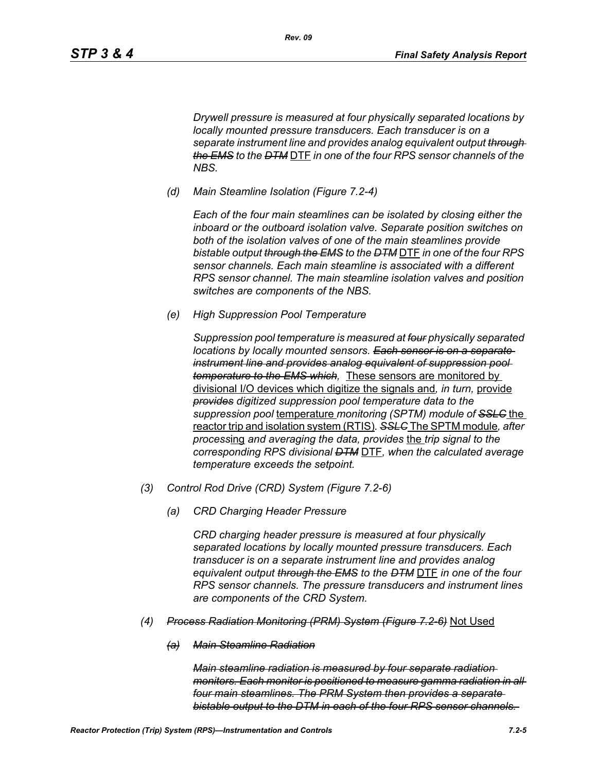*Drywell pressure is measured at four physically separated locations by locally mounted pressure transducers. Each transducer is on a separate instrument line and provides analog equivalent output through the EMS to the DTM* DTF *in one of the four RPS sensor channels of the NBS.*

*(d) Main Steamline Isolation (Figure 7.2-4)*

*Rev. 09*

*Each of the four main steamlines can be isolated by closing either the inboard or the outboard isolation valve. Separate position switches on both of the isolation valves of one of the main steamlines provide bistable output through the EMS to the DTM* DTF *in one of the four RPS sensor channels. Each main steamline is associated with a different RPS sensor channel. The main steamline isolation valves and position switches are components of the NBS.*

*(e) High Suppression Pool Temperature*

*Suppression pool temperature is measured at four physically separated locations by locally mounted sensors. Each sensor is on a separate instrument line and provides analog equivalent of suppression pool temperature to the EMS which,* These sensors are monitored by divisional I/O devices which digitize the signals and*, in turn,* provide *provides digitized suppression pool temperature data to the suppression pool* temperature *monitoring (SPTM) module of SSLC* the reactor trip and isolation system (RTIS)*. SSLC* The SPTM module*, after process*ing *and averaging the data, provides* the *trip signal to the corresponding RPS divisional DTM* DTF*, when the calculated average temperature exceeds the setpoint.*

- *(3) Control Rod Drive (CRD) System (Figure 7.2-6)*
	- *(a) CRD Charging Header Pressure*

*CRD charging header pressure is measured at four physically separated locations by locally mounted pressure transducers. Each transducer is on a separate instrument line and provides analog equivalent output through the EMS to the DTM* DTF *in one of the four RPS sensor channels. The pressure transducers and instrument lines are components of the CRD System.*

- *(4) Process Radiation Monitoring (PRM) System (Figure 7.2-6)* Not Used
	- *(a) Main Steamline Radiation*

*Main steamline radiation is measured by four separate radiation monitors. Each monitor is positioned to measure gamma radiation in all four main steamlines. The PRM System then provides a separate bistable output to the DTM in each of the four RPS sensor channels.*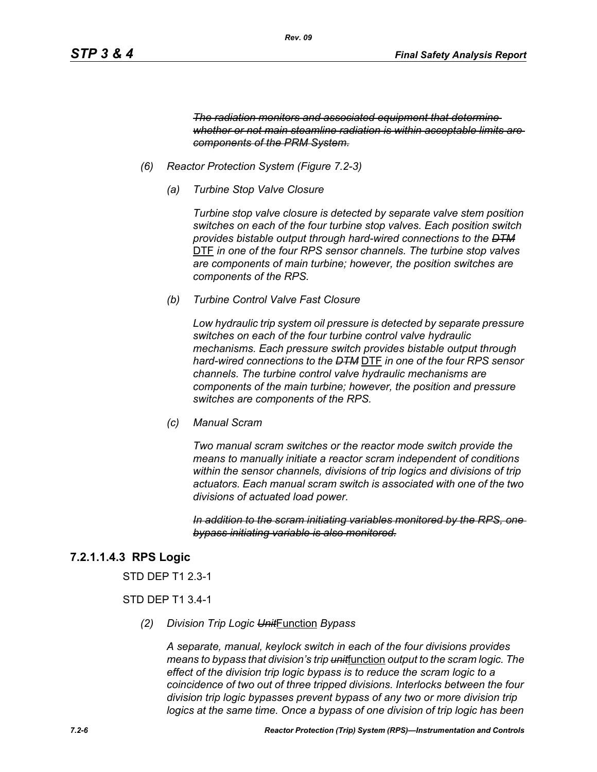*The radiation monitors and associated equipment that determine whether or not main steamline radiation is within acceptable limits are components of the PRM System.*

- *(6) Reactor Protection System (Figure 7.2-3)*
	- *(a) Turbine Stop Valve Closure*

*Turbine stop valve closure is detected by separate valve stem position switches on each of the four turbine stop valves. Each position switch provides bistable output through hard-wired connections to the DTM* DTF *in one of the four RPS sensor channels. The turbine stop valves are components of main turbine; however, the position switches are components of the RPS.*

*(b) Turbine Control Valve Fast Closure*

*Low hydraulic trip system oil pressure is detected by separate pressure switches on each of the four turbine control valve hydraulic mechanisms. Each pressure switch provides bistable output through hard-wired connections to the DTM* DTF *in one of the four RPS sensor channels. The turbine control valve hydraulic mechanisms are components of the main turbine; however, the position and pressure switches are components of the RPS.*

*(c) Manual Scram*

*Two manual scram switches or the reactor mode switch provide the means to manually initiate a reactor scram independent of conditions within the sensor channels, divisions of trip logics and divisions of trip actuators. Each manual scram switch is associated with one of the two divisions of actuated load power.* 

*In addition to the scram initiating variables monitored by the RPS, one bypass initiating variable is also monitored.*

# **7.2.1.1.4.3 RPS Logic**

STD DEP T1 2.3-1

## STD DEP T1 3.4-1

*(2) Division Trip Logic Unit*Function *Bypass*

*A separate, manual, keylock switch in each of the four divisions provides means to bypass that division's trip unit*function *output to the scram logic. The effect of the division trip logic bypass is to reduce the scram logic to a coincidence of two out of three tripped divisions. Interlocks between the four division trip logic bypasses prevent bypass of any two or more division trip logics at the same time. Once a bypass of one division of trip logic has been*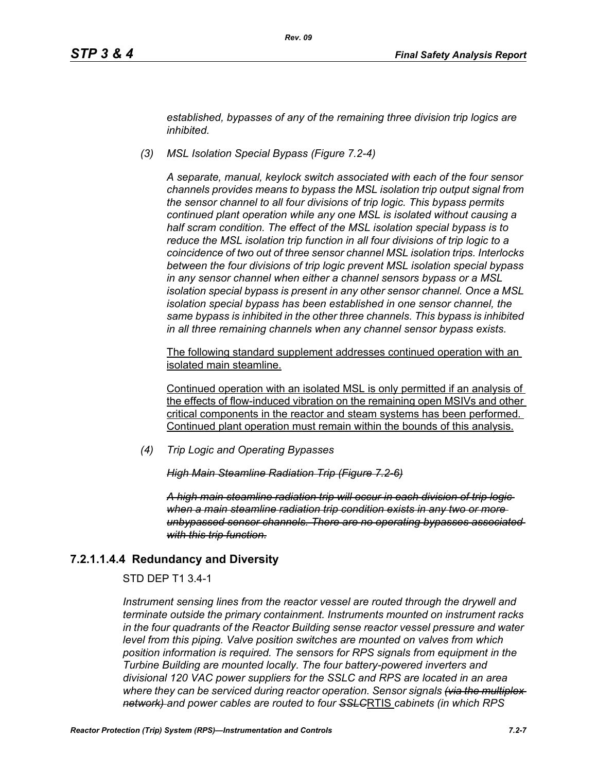*established, bypasses of any of the remaining three division trip logics are inhibited.*

*(3) MSL Isolation Special Bypass (Figure 7.2-4)*

*A separate, manual, keylock switch associated with each of the four sensor channels provides means to bypass the MSL isolation trip output signal from the sensor channel to all four divisions of trip logic. This bypass permits continued plant operation while any one MSL is isolated without causing a half scram condition. The effect of the MSL isolation special bypass is to reduce the MSL isolation trip function in all four divisions of trip logic to a coincidence of two out of three sensor channel MSL isolation trips. Interlocks between the four divisions of trip logic prevent MSL isolation special bypass in any sensor channel when either a channel sensors bypass or a MSL isolation special bypass is present in any other sensor channel. Once a MSL isolation special bypass has been established in one sensor channel, the same bypass is inhibited in the other three channels. This bypass is inhibited in all three remaining channels when any channel sensor bypass exists.*

The following standard supplement addresses continued operation with an isolated main steamline.

Continued operation with an isolated MSL is only permitted if an analysis of the effects of flow-induced vibration on the remaining open MSIVs and other critical components in the reactor and steam systems has been performed. Continued plant operation must remain within the bounds of this analysis.

*(4) Trip Logic and Operating Bypasses*

*High Main Steamline Radiation Trip (Figure 7.2-6)*

*A high main steamline radiation trip will occur in each division of trip logic when a main steamline radiation trip condition exists in any two or more unbypassed sensor channels. There are no operating bypasses associated with this trip function.*

## **7.2.1.1.4.4 Redundancy and Diversity**

STD DEP T1 3.4-1

*Instrument sensing lines from the reactor vessel are routed through the drywell and terminate outside the primary containment. Instruments mounted on instrument racks in the four quadrants of the Reactor Building sense reactor vessel pressure and water level from this piping. Valve position switches are mounted on valves from which position information is required. The sensors for RPS signals from equipment in the Turbine Building are mounted locally. The four battery-powered inverters and divisional 120 VAC power suppliers for the SSLC and RPS are located in an area where they can be serviced during reactor operation. Sensor signals (via the multiplex network) and power cables are routed to four SSLC*RTIS *cabinets (in which RPS*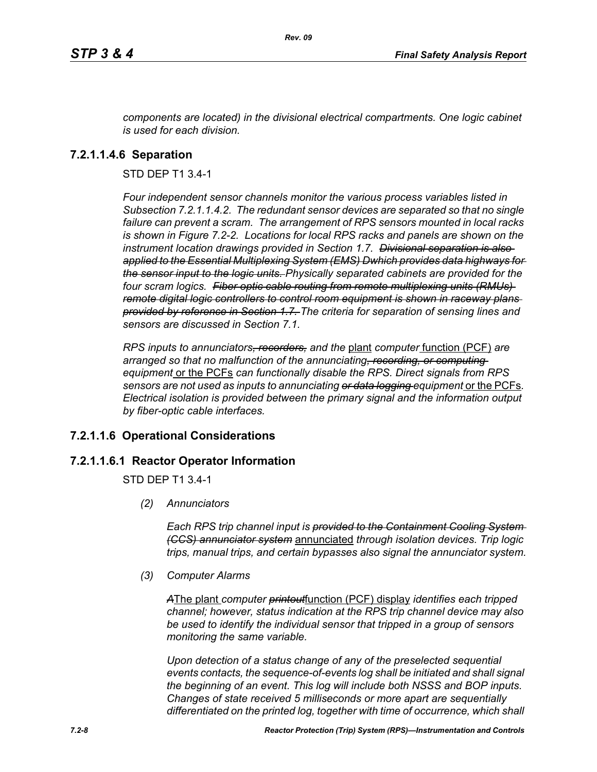*components are located) in the divisional electrical compartments. One logic cabinet is used for each division.*

# **7.2.1.1.4.6 Separation**

STD DEP T1 3.4-1

*Four independent sensor channels monitor the various process variables listed in Subsection 7.2.1.1.4.2. The redundant sensor devices are separated so that no single failure can prevent a scram. The arrangement of RPS sensors mounted in local racks is shown in Figure 7.2-2. Locations for local RPS racks and panels are shown on the instrument location drawings provided in Section 1.7. Divisional separation is also applied to the Essential Multiplexing System (EMS) Dwhich provides data highways for the sensor input to the logic units. Physically separated cabinets are provided for the four scram logics. Fiber optic cable routing from remote multiplexing units (RMUs) remote digital logic controllers to control room equipment is shown in raceway plans provided by reference in Section 1.7. The criteria for separation of sensing lines and sensors are discussed in Section 7.1.*

*RPS inputs to annunciators, recorders, and the* plant *computer* function (PCF) *are arranged so that no malfunction of the annunciating, recording, or computing equipment* or the PCFs *can functionally disable the RPS. Direct signals from RPS sensors are not used as inputs to annunciating or data logging equipment* or the PCFs*. Electrical isolation is provided between the primary signal and the information output by fiber-optic cable interfaces.*

# **7.2.1.1.6 Operational Considerations**

# **7.2.1.1.6.1 Reactor Operator Information**

STD DEP T1 3.4-1

*(2) Annunciators*

*Each RPS trip channel input is provided to the Containment Cooling System (CCS) annunciator system* annunciated *through isolation devices. Trip logic trips, manual trips, and certain bypasses also signal the annunciator system.*

*(3) Computer Alarms*

*A*The plant *computer printout*function (PCF) display *identifies each tripped channel; however, status indication at the RPS trip channel device may also be used to identify the individual sensor that tripped in a group of sensors monitoring the same variable.* 

*Upon detection of a status change of any of the preselected sequential events contacts, the sequence-of-events log shall be initiated and shall signal the beginning of an event. This log will include both NSSS and BOP inputs. Changes of state received 5 milliseconds or more apart are sequentially differentiated on the printed log, together with time of occurrence, which shall*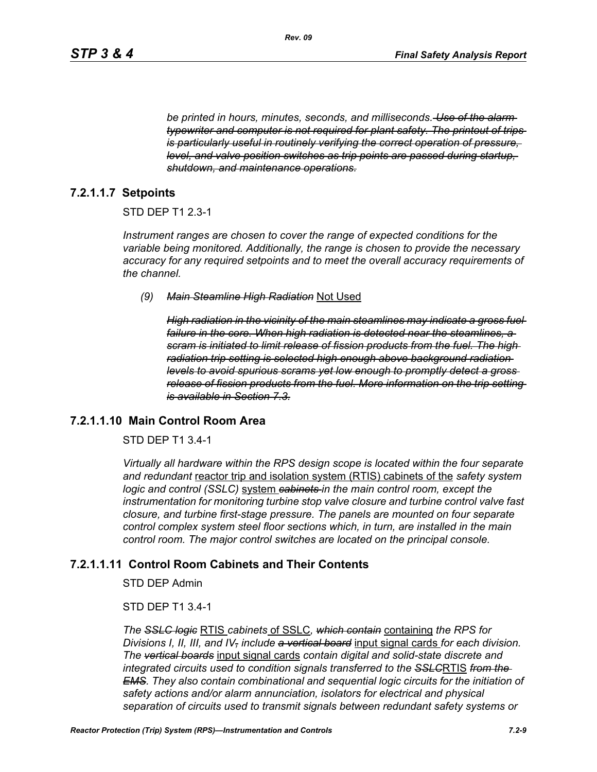*be printed in hours, minutes, seconds, and milliseconds. Use of the alarm typewriter and computer is not required for plant safety. The printout of trips is particularly useful in routinely verifying the correct operation of pressure, level, and valve position switches as trip points are passed during startup, shutdown, and maintenance operations.*

## **7.2.1.1.7 Setpoints**

#### STD DEP T1 2.3-1

*Instrument ranges are chosen to cover the range of expected conditions for the variable being monitored. Additionally, the range is chosen to provide the necessary accuracy for any required setpoints and to meet the overall accuracy requirements of the channel.*

*(9) Main Steamline High Radiation* Not Used

*High radiation in the vicinity of the main steamlines may indicate a gross fuel failure in the core. When high radiation is detected near the steamlines, a scram is initiated to limit release of fission products from the fuel. The high radiation trip setting is selected high enough above background radiation levels to avoid spurious scrams yet low enough to promptly detect a gross release of fission products from the fuel. More information on the trip setting is available in Section 7.3.*

## **7.2.1.1.10 Main Control Room Area**

#### STD DEP T1 3.4-1

*Virtually all hardware within the RPS design scope is located within the four separate and redundant* reactor trip and isolation system (RTIS) cabinets of the *safety system logic and control (SSLC)* system *cabinets in the main control room, except the instrumentation for monitoring turbine stop valve closure and turbine control valve fast closure, and turbine first-stage pressure. The panels are mounted on four separate control complex system steel floor sections which, in turn, are installed in the main control room. The major control switches are located on the principal console.*

### **7.2.1.1.11 Control Room Cabinets and Their Contents**

STD DEP Admin

## STD DEP T1 3.4-1

*The SSLC logic* RTIS *cabinets* of SSLC*, which contain* containing *the RPS for Divisions I, II, III, and IV, include a vertical board* input signal cards *for each division. The vertical boards* input signal cards *contain digital and solid-state discrete and integrated circuits used to condition signals transferred to the SSLC*RTIS *from the EMS. They also contain combinational and sequential logic circuits for the initiation of safety actions and/or alarm annunciation, isolators for electrical and physical separation of circuits used to transmit signals between redundant safety systems or*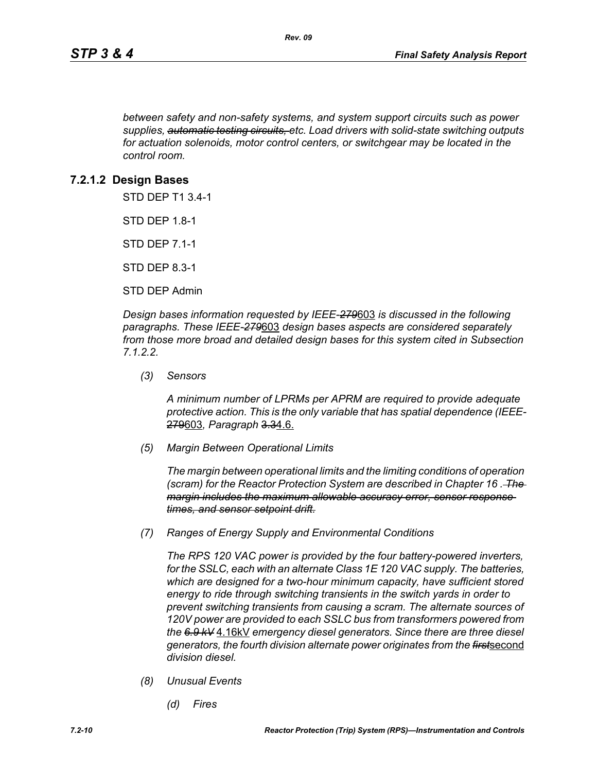*between safety and non-safety systems, and system support circuits such as power supplies, automatic testing circuits, etc. Load drivers with solid-state switching outputs for actuation solenoids, motor control centers, or switchgear may be located in the control room.*

## **7.2.1.2 Design Bases**

STD DEP T1 3.4-1

STD DEP 1.8-1

STD DEP 7.1-1

STD DEP 8.3-1

STD DEP Admin

*Design bases information requested by IEEE-279*603 *is discussed in the following paragraphs. These IEEE-279*603 *design bases aspects are considered separately from those more broad and detailed design bases for this system cited in Subsection 7.1.2.2.*

*(3) Sensors*

*A minimum number of LPRMs per APRM are required to provide adequate protective action. This is the only variable that has spatial dependence (IEEE-*279603*, Paragraph* 3.34.6.

*(5) Margin Between Operational Limits*

*The margin between operational limits and the limiting conditions of operation (scram) for the Reactor Protection System are described in Chapter 16 . The margin includes the maximum allowable accuracy error, sensor response times, and sensor setpoint drift.*

*(7) Ranges of Energy Supply and Environmental Conditions*

*The RPS 120 VAC power is provided by the four battery-powered inverters, for the SSLC, each with an alternate Class 1E 120 VAC supply. The batteries, which are designed for a two-hour minimum capacity, have sufficient stored energy to ride through switching transients in the switch yards in order to prevent switching transients from causing a scram. The alternate sources of 120V power are provided to each SSLC bus from transformers powered from the 6.9 kV* 4.16kV *emergency diesel generators. Since there are three diesel generators, the fourth division alternate power originates from the first*second *division diesel.*

- *(8) Unusual Events*
	- *(d) Fires*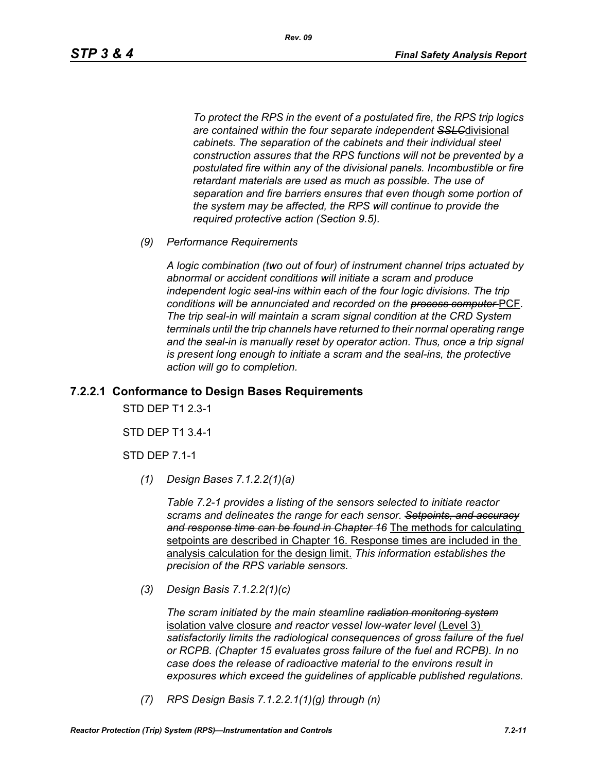*To protect the RPS in the event of a postulated fire, the RPS trip logics are contained within the four separate independent SSLC*divisional *cabinets. The separation of the cabinets and their individual steel construction assures that the RPS functions will not be prevented by a postulated fire within any of the divisional panels. Incombustible or fire retardant materials are used as much as possible. The use of separation and fire barriers ensures that even though some portion of the system may be affected, the RPS will continue to provide the required protective action (Section 9.5).*

*(9) Performance Requirements*

*A logic combination (two out of four) of instrument channel trips actuated by abnormal or accident conditions will initiate a scram and produce independent logic seal-ins within each of the four logic divisions. The trip conditions will be annunciated and recorded on the process computer* PCF*. The trip seal-in will maintain a scram signal condition at the CRD System terminals until the trip channels have returned to their normal operating range*  and the seal-in is manually reset by operator action. Thus, once a trip signal *is present long enough to initiate a scram and the seal-ins, the protective action will go to completion.*

## **7.2.2.1 Conformance to Design Bases Requirements**

STD DEP T1 2.3-1

STD DEP T1 3.4-1

STD DEP 7.1-1

*(1) Design Bases 7.1.2.2(1)(a)*

*Table 7.2-1 provides a listing of the sensors selected to initiate reactor scrams and delineates the range for each sensor. Setpoints, and accuracy and response time can be found in Chapter 16* The methods for calculating setpoints are described in Chapter 16. Response times are included in the analysis calculation for the design limit. *This information establishes the precision of the RPS variable sensors.*

*(3) Design Basis 7.1.2.2(1)(c)*

*The scram initiated by the main steamline radiation monitoring system* isolation valve closure *and reactor vessel low-water level* (Level 3) *satisfactorily limits the radiological consequences of gross failure of the fuel or RCPB. (Chapter 15 evaluates gross failure of the fuel and RCPB). In no case does the release of radioactive material to the environs result in exposures which exceed the guidelines of applicable published regulations.*

*(7) RPS Design Basis 7.1.2.2.1(1)(g) through (n)*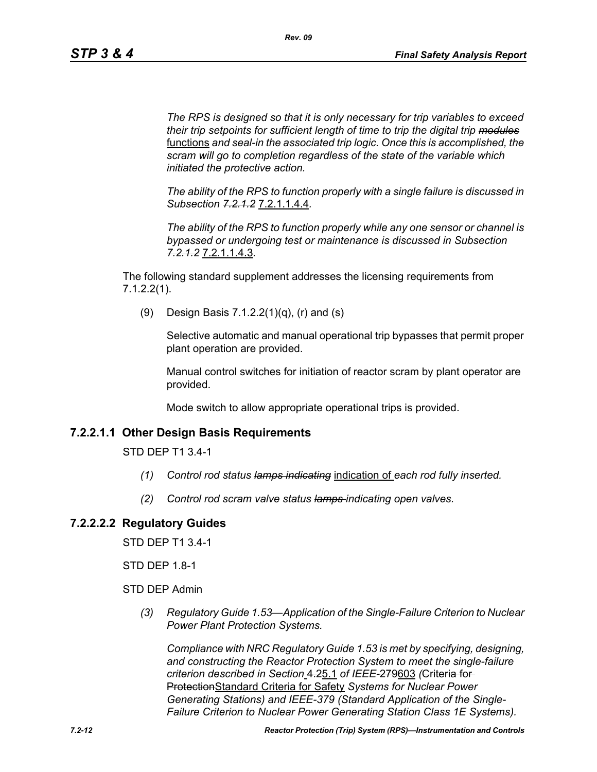*The RPS is designed so that it is only necessary for trip variables to exceed their trip setpoints for sufficient length of time to trip the digital trip modules* functions *and seal-in the associated trip logic. Once this is accomplished, the scram will go to completion regardless of the state of the variable which initiated the protective action.*

*The ability of the RPS to function properly with a single failure is discussed in Subsection 7.2.1.2* 7.2.1.1.4.4*.*

*The ability of the RPS to function properly while any one sensor or channel is bypassed or undergoing test or maintenance is discussed in Subsection 7.2.1.2* 7.2.1.1.4.3*.*

The following standard supplement addresses the licensing requirements from 7.1.2.2(1).

(9) Design Basis 7.1.2.2(1)(q), (r) and (s)

Selective automatic and manual operational trip bypasses that permit proper plant operation are provided.

Manual control switches for initiation of reactor scram by plant operator are provided.

Mode switch to allow appropriate operational trips is provided.

# **7.2.2.1.1 Other Design Basis Requirements**

STD DEP T1 3.4-1

- *(1) Control rod status lamps indicating* indication of *each rod fully inserted.*
- *(2) Control rod scram valve status lamps indicating open valves.*

# **7.2.2.2.2 Regulatory Guides**

STD DEP T1 3.4-1

STD DEP 1.8-1

STD DEP Admin

*(3) Regulatory Guide 1.53—Application of the Single-Failure Criterion to Nuclear Power Plant Protection Systems.*

*Compliance with NRC Regulatory Guide 1.53 is met by specifying, designing, and constructing the Reactor Protection System to meet the single-failure criterion described in Section* 4.25.1 *of IEEE-*279603 *(*Criteria for ProtectionStandard Criteria for Safety *Systems for Nuclear Power Generating Stations) and IEEE-379 (Standard Application of the Single-Failure Criterion to Nuclear Power Generating Station Class 1E Systems).*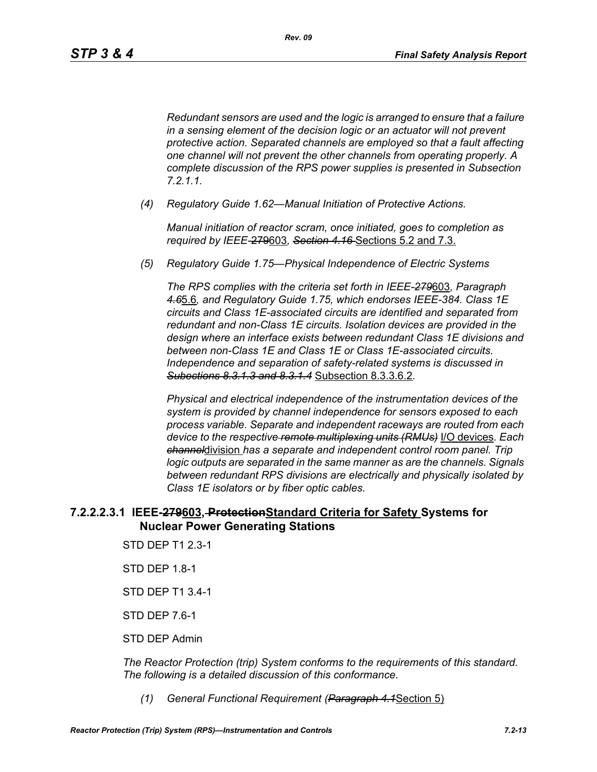*Redundant sensors are used and the logic is arranged to ensure that a failure in a sensing element of the decision logic or an actuator will not prevent protective action. Separated channels are employed so that a fault affecting one channel will not prevent the other channels from operating properly. A complete discussion of the RPS power supplies is presented in Subsection 7.2.1.1.*

*(4) Regulatory Guide 1.62—Manual Initiation of Protective Actions.*

*Manual initiation of reactor scram, once initiated, goes to completion as required by IEEE-*279603*, Section 4.16* Sections 5.2 and 7.3.

*(5) Regulatory Guide 1.75—Physical Independence of Electric Systems*

*The RPS complies with the criteria set forth in IEEE-279*603*, Paragraph 4.6*5.6*, and Regulatory Guide 1.75, which endorses IEEE-384. Class 1E circuits and Class 1E-associated circuits are identified and separated from redundant and non-Class 1E circuits. Isolation devices are provided in the design where an interface exists between redundant Class 1E divisions and between non-Class 1E and Class 1E or Class 1E-associated circuits. Independence and separation of safety-related systems is discussed in Subections 8.3.1.3 and 8.3.1.4* Subsection 8.3.3.6.2*.*

*Physical and electrical independence of the instrumentation devices of the system is provided by channel independence for sensors exposed to each process variable. Separate and independent raceways are routed from each device to the respective remote multiplexing units (RMUs)* I/O devices*. Each channel*division *has a separate and independent control room panel. Trip logic outputs are separated in the same manner as are the channels. Signals between redundant RPS divisions are electrically and physically isolated by Class 1E isolators or by fiber optic cables.*

# **7.2.2.2.3.1 IEEE-279603, ProtectionStandard Criteria for Safety Systems for Nuclear Power Generating Stations**

- STD DEP T1 2.3-1
- STD DEP 1.8-1
- STD DEP T1 3.4-1
- STD DEP 7.6-1
- STD DEP Admin

*The Reactor Protection (trip) System conforms to the requirements of this standard. The following is a detailed discussion of this conformance.*

*(1) General Functional Requirement (Paragraph 4.1*Section 5)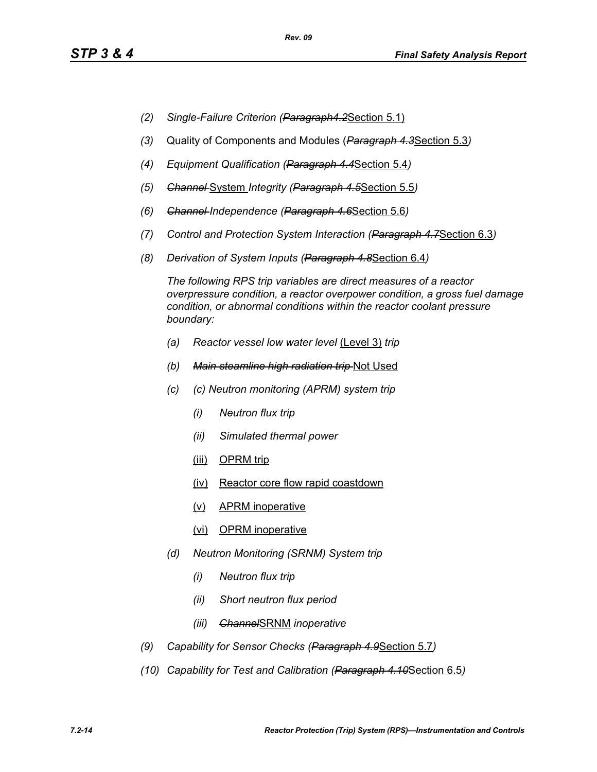- *(2) Single-Failure Criterion (Paragraph4.2*Section 5.1)
- *(3)* Quality of Components and Modules (*Paragraph 4.3*Section 5.3*)*
- *(4) Equipment Qualification (Paragraph 4.4*Section 5.4*)*
- *(5) Channel* System *Integrity (Paragraph 4.5*Section 5.5*)*
- *(6) Channel Independence (Paragraph 4.6*Section 5.6*)*
- *(7) Control and Protection System Interaction (Paragraph 4.7*Section 6.3*)*
- *(8) Derivation of System Inputs (Paragraph 4.8*Section 6.4*)*

*The following RPS trip variables are direct measures of a reactor overpressure condition, a reactor overpower condition, a gross fuel damage condition, or abnormal conditions within the reactor coolant pressure boundary:*

- *(a) Reactor vessel low water level* (Level 3) *trip*
- *(b) Main steamline high radiation trip* Not Used
- *(c) (c) Neutron monitoring (APRM) system trip*
	- *(i) Neutron flux trip*
	- *(ii) Simulated thermal power*
	- (iii) OPRM trip
	- (iv) Reactor core flow rapid coastdown
	- (v) APRM inoperative
	- (vi) OPRM inoperative
- *(d) Neutron Monitoring (SRNM) System trip*
	- *(i) Neutron flux trip*
	- *(ii) Short neutron flux period*
	- *(iii) Channel*SRNM *inoperative*
- *(9) Capability for Sensor Checks (Paragraph 4.9*Section 5.7*)*
- *(10) Capability for Test and Calibration (Paragraph 4.10*Section 6.5*)*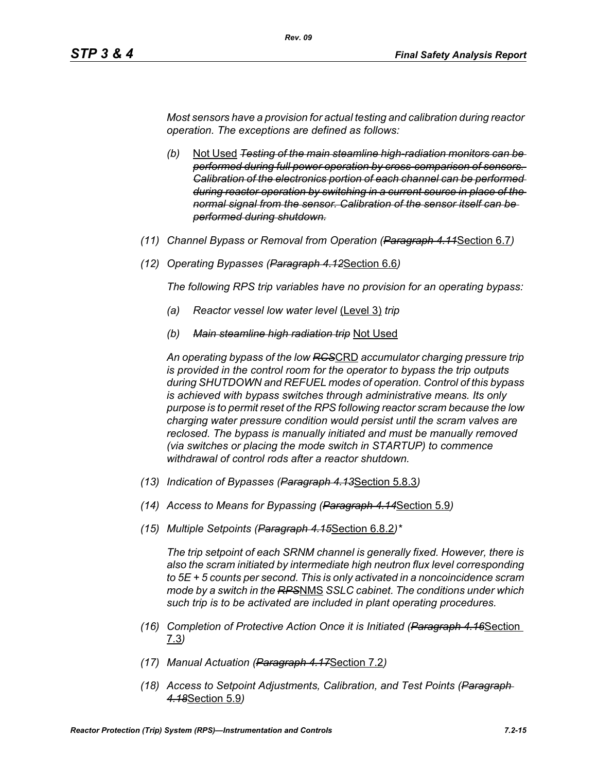*Most sensors have a provision for actual testing and calibration during reactor operation. The exceptions are defined as follows:*

*Rev. 09*

- *(b)* Not Used *Testing of the main steamline high-radiation monitors can be performed during full power operation by cross-comparison of sensors. Calibration of the electronics portion of each channel can be performed during reactor operation by switching in a current source in place of the normal signal from the sensor. Calibration of the sensor itself can be performed during shutdown.*
- *(11) Channel Bypass or Removal from Operation (Paragraph 4.11*Section 6.7*)*
- *(12) Operating Bypasses (Paragraph 4.12*Section 6.6*)*

*The following RPS trip variables have no provision for an operating bypass:*

- *(a) Reactor vessel low water level* (Level 3) *trip*
- *(b) Main steamline high radiation trip* Not Used

*An operating bypass of the low RCS*CRD *accumulator charging pressure trip is provided in the control room for the operator to bypass the trip outputs during SHUTDOWN and REFUEL modes of operation. Control of this bypass is achieved with bypass switches through administrative means. Its only purpose is to permit reset of the RPS following reactor scram because the low charging water pressure condition would persist until the scram valves are reclosed. The bypass is manually initiated and must be manually removed (via switches or placing the mode switch in STARTUP) to commence withdrawal of control rods after a reactor shutdown.*

- *(13) Indication of Bypasses (Paragraph 4.13*Section 5.8.3*)*
- *(14) Access to Means for Bypassing (Paragraph 4.14*Section 5.9*)*
- *(15) Multiple Setpoints (Paragraph 4.15*Section 6.8.2*)\**

*The trip setpoint of each SRNM channel is generally fixed. However, there is also the scram initiated by intermediate high neutron flux level corresponding to 5E + 5 counts per second. This is only activated in a noncoincidence scram mode by a switch in the RPS*NMS *SSLC cabinet. The conditions under which such trip is to be activated are included in plant operating procedures.*

- *(16) Completion of Protective Action Once it is Initiated (Paragraph 4.16*Section 7.3*)*
- *(17) Manual Actuation (Paragraph 4.17*Section 7.2*)*
- *(18) Access to Setpoint Adjustments, Calibration, and Test Points (Paragraph 4.18*Section 5.9*)*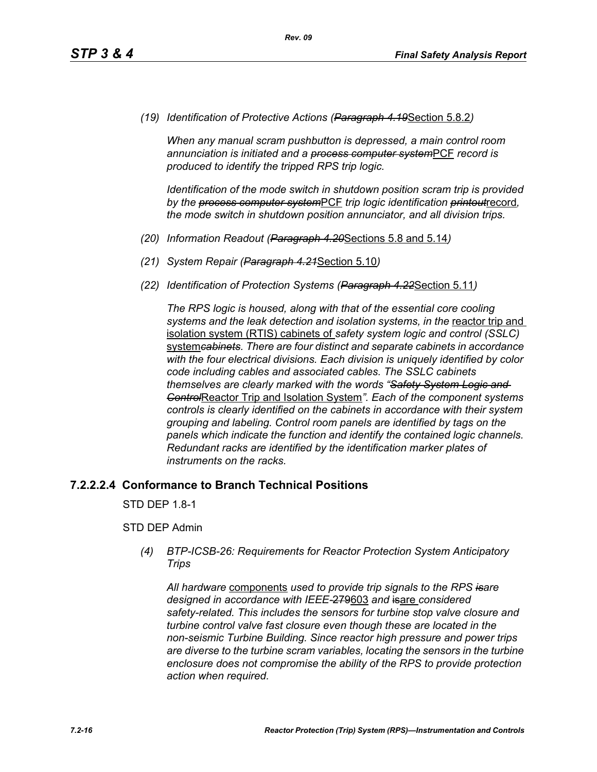*(19) Identification of Protective Actions (Paragraph 4.19*Section 5.8.2*)*

*When any manual scram pushbutton is depressed, a main control room annunciation is initiated and a process computer system*PCF *record is produced to identify the tripped RPS trip logic.*

*Identification of the mode switch in shutdown position scram trip is provided by the process computer system*PCF *trip logic identification printout*record*, the mode switch in shutdown position annunciator, and all division trips.*

- *(20) Information Readout (Paragraph 4.20*Sections 5.8 and 5.14*)*
- *(21) System Repair (Paragraph 4.21*Section 5.10*)*
- *(22) Identification of Protection Systems (Paragraph 4.22*Section 5.11*)*

*The RPS logic is housed, along with that of the essential core cooling*  systems and the leak detection and *isolation systems, in the reactor trip* and isolation system (RTIS) cabinets of *safety system logic and control (SSLC)*  system*cabinets. There are four distinct and separate cabinets in accordance with the four electrical divisions. Each division is uniquely identified by color code including cables and associated cables. The SSLC cabinets themselves are clearly marked with the words "Safety System Logic and Control*Reactor Trip and Isolation System*". Each of the component systems controls is clearly identified on the cabinets in accordance with their system grouping and labeling. Control room panels are identified by tags on the panels which indicate the function and identify the contained logic channels. Redundant racks are identified by the identification marker plates of instruments on the racks.*

## **7.2.2.2.4 Conformance to Branch Technical Positions**

STD DEP 1.8-1

## STD DEP Admin

*(4) BTP-ICSB-26: Requirements for Reactor Protection System Anticipatory Trips*

*All hardware* components *used to provide trip signals to the RPS isare designed in accordance with IEEE-*279603 *and* isare *considered safety-related. This includes the sensors for turbine stop valve closure and turbine control valve fast closure even though these are located in the non-seismic Turbine Building. Since reactor high pressure and power trips are diverse to the turbine scram variables, locating the sensors in the turbine enclosure does not compromise the ability of the RPS to provide protection action when required.*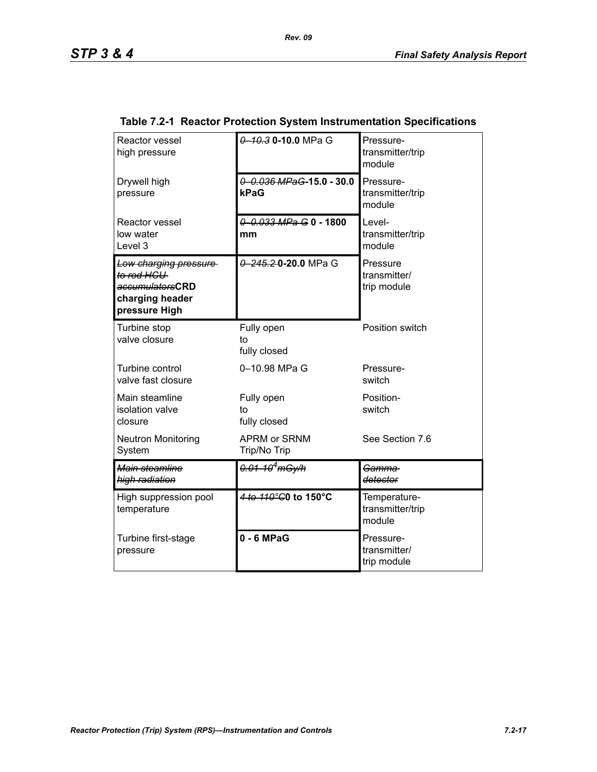| Reactor vessel<br>high pressure                                                            | 0 10.3 0 10.0 MPa G                 | Pressure-<br>transmitter/trip<br>module    |
|--------------------------------------------------------------------------------------------|-------------------------------------|--------------------------------------------|
| Drywell high<br>pressure                                                                   | 0 0.036 MPaG-15.0 - 30.0<br>kPaG    | Pressure-<br>transmitter/trip<br>module    |
| <b>Reactor vessel</b><br>low water<br>Level 3                                              | 0 0.033 MPa G 0 - 1800<br>mm        | Level-<br>transmitter/trip<br>module       |
| Low charging pressure<br>to rod HCU<br>accumulatorsCRD<br>charging header<br>pressure High | 0 245.20.20.0 MPa G                 | Pressure<br>transmitter/<br>trip module    |
| Turbine stop<br>valve closure                                                              | Fully open<br>to<br>fully closed    | Position switch                            |
| Turbine control<br>valve fast closure                                                      | 0-10.98 MPa G                       | Pressure-<br>switch                        |
| Main steamline<br>isolation valve<br>closure                                               | Fully open<br>to<br>fully closed    | Position-<br>switch                        |
| <b>Neutron Monitoring</b><br>System                                                        | <b>APRM or SRNM</b><br>Trip/No Trip | See Section 7.6                            |
| Main steamline<br>high radiation                                                           | <del>0.01-10<sup>4</sup>mGy/h</del> | Gamma<br>detector                          |
| High suppression pool<br>temperature                                                       | 4 to 110°C0 to 150°C                | Temperature-<br>transmitter/trip<br>module |
| Turbine first-stage<br>pressure                                                            | $0 - 6$ MPaG                        | Pressure-<br>transmitter/<br>trip module   |

# **Table 7.2-1 Reactor Protection System Instrumentation Specifications**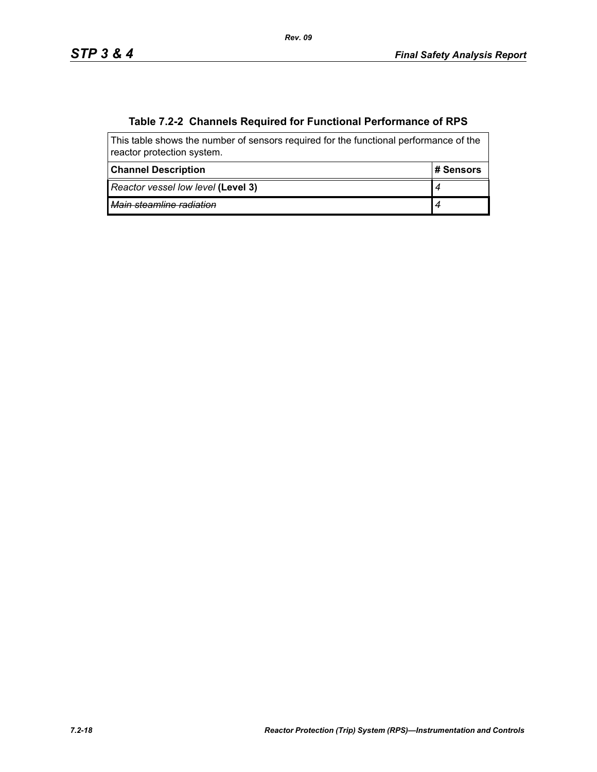# **Table 7.2-2 Channels Required for Functional Performance of RPS**

| This table shows the number of sensors required for the functional performance of the<br>reactor protection system. |            |  |  |
|---------------------------------------------------------------------------------------------------------------------|------------|--|--|
| <b>Channel Description</b>                                                                                          | ⊦# Sensors |  |  |
| Reactor vessel low level (Level 3)                                                                                  |            |  |  |
| Main steamline radiation                                                                                            |            |  |  |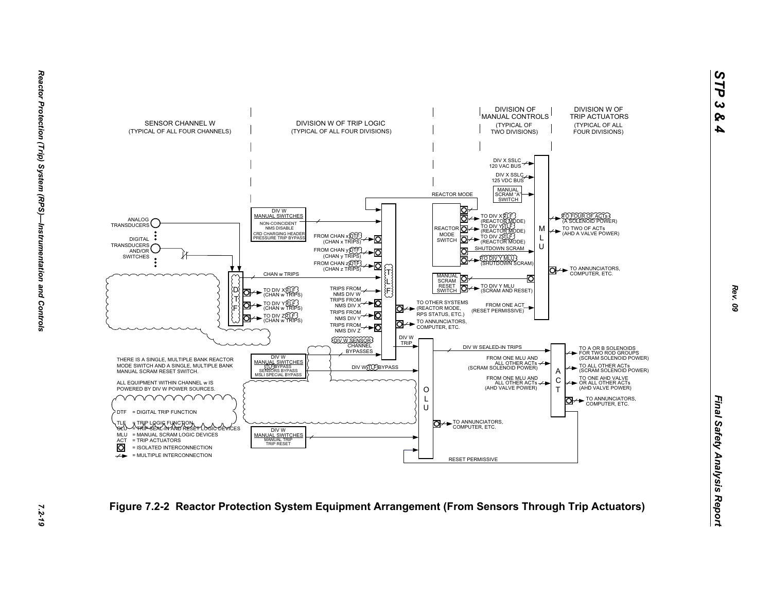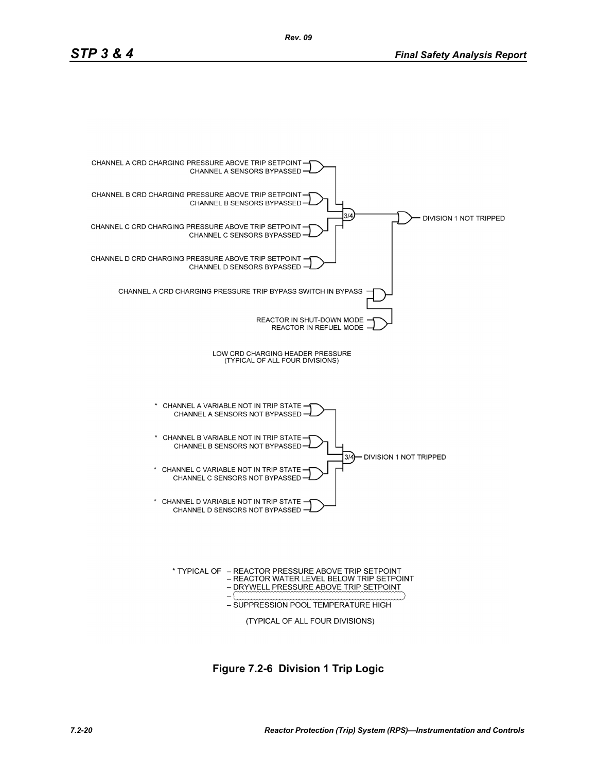

**Figure 7.2-6 Division 1 Trip Logic**